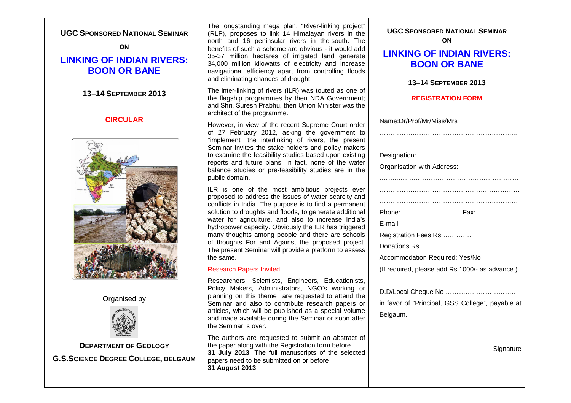| <b>UGC SPONSORED NATIONAL SEMINAR</b><br>ON<br><b>LINKING OF INDIAN RIVERS:</b><br><b>BOON OR BANE</b> | The longstanding mega plan, "River-linking project"<br>(RLP), proposes to link 14 Himalayan rivers in the<br>north and 16 peninsular rivers in the south. The<br>benefits of such a scheme are obvious - it would add<br>35-37 million hectares of irrigated land generate<br>34,000 million kilowatts of electricity and increase<br>navigational efficiency apart from controlling floods<br>and eliminating chances of drought.                                                                                                                          | <b>UGC SPONSORED NATIONAL SEMINAR</b><br>ON<br><b>LINKING OF INDIAN RIVERS:</b><br><b>BOON OR BANE</b><br>13-14 SEPTEMBER 2013                         |
|--------------------------------------------------------------------------------------------------------|-------------------------------------------------------------------------------------------------------------------------------------------------------------------------------------------------------------------------------------------------------------------------------------------------------------------------------------------------------------------------------------------------------------------------------------------------------------------------------------------------------------------------------------------------------------|--------------------------------------------------------------------------------------------------------------------------------------------------------|
| 13-14 SEPTEMBER 2013                                                                                   | The inter-linking of rivers (ILR) was touted as one of<br>the flagship programmes by then NDA Government;<br>and Shri. Suresh Prabhu, then Union Minister was the<br>architect of the programme.                                                                                                                                                                                                                                                                                                                                                            | <b>REGISTRATION FORM</b>                                                                                                                               |
| <b>CIRCULAR</b>                                                                                        | However, in view of the recent Supreme Court order<br>of 27 February 2012, asking the government to<br>"implement" the interlinking of rivers, the present<br>Seminar invites the stake holders and policy makers<br>to examine the feasibility studies based upon existing<br>reports and future plans. In fact, none of the water<br>balance studies or pre-feasibility studies are in the<br>public domain.                                                                                                                                              | Name:Dr/Prof/Mr/Miss/Mrs<br>Designation:<br>Organisation with Address:                                                                                 |
|                                                                                                        | ILR is one of the most ambitious projects ever<br>proposed to address the issues of water scarcity and<br>conflicts in India. The purpose is to find a permanent<br>solution to droughts and floods, to generate additional<br>water for agriculture, and also to increase India's<br>hydropower capacity. Obviously the ILR has triggered<br>many thoughts among people and there are schools<br>of thoughts For and Against the proposed project.<br>The present Seminar will provide a platform to assess<br>the same.<br><b>Research Papers Invited</b> | Phone:<br>Fax:<br>E-mail:<br>Registration Fees Rs<br>Donations Rs<br>Accommodation Required: Yes/No<br>(If required, please add Rs.1000/- as advance.) |
| Organised by                                                                                           | Researchers, Scientists, Engineers, Educationists,<br>Policy Makers, Administrators, NGO's working or<br>planning on this theme are requested to attend the<br>Seminar and also to contribute research papers or<br>articles, which will be published as a special volume<br>and made available during the Seminar or soon after<br>the Seminar is over.                                                                                                                                                                                                    | in favor of "Principal, GSS College", payable at<br>Belgaum.                                                                                           |
| <b>DEPARTMENT OF GEOLOGY</b><br><b>G.S.SCIENCE DEGREE COLLEGE, BELGAUM</b>                             | The authors are requested to submit an abstract of<br>the paper along with the Registration form before<br>31 July 2013. The full manuscripts of the selected<br>papers need to be submitted on or before<br>31 August 2013.                                                                                                                                                                                                                                                                                                                                | Signature                                                                                                                                              |